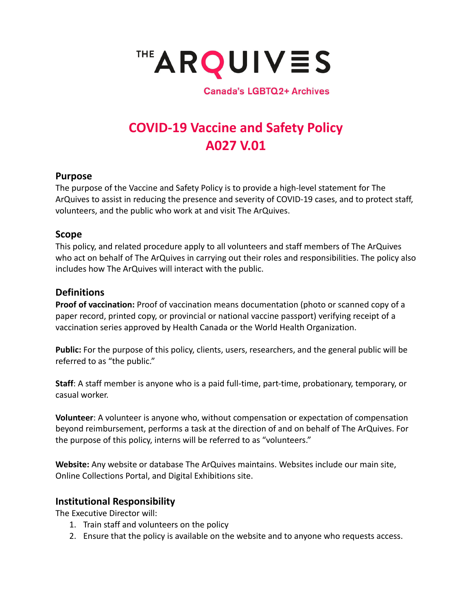

**Canada's LGBTQ2+ Archives** 

# **COVID-19 Vaccine and Safety Policy A027 V.01**

### **Purpose**

The purpose of the Vaccine and Safety Policy is to provide a high-level statement for The ArQuives to assist in reducing the presence and severity of COVID-19 cases, and to protect staff, volunteers, and the public who work at and visit The ArQuives.

### **Scope**

This policy, and related procedure apply to all volunteers and staff members of The ArQuives who act on behalf of The ArQuives in carrying out their roles and responsibilities. The policy also includes how The ArQuives will interact with the public.

# **Definitions**

**Proof of vaccination:** Proof of vaccination means documentation (photo or scanned copy of a paper record, printed copy, or provincial or national vaccine passport) verifying receipt of a vaccination series approved by Health Canada or the World Health Organization.

**Public:** For the purpose of this policy, clients, users, researchers, and the general public will be referred to as "the public."

**Staff**: A staff member is anyone who is a paid full-time, part-time, probationary, temporary, or casual worker.

**Volunteer**: A volunteer is anyone who, without compensation or expectation of compensation beyond reimbursement, performs a task at the direction of and on behalf of The ArQuives. For the purpose of this policy, interns will be referred to as "volunteers."

**Website:** Any website or database The ArQuives maintains. Websites include our main site, Online Collections Portal, and Digital Exhibitions site.

## **Institutional Responsibility**

The Executive Director will:

- 1. Train staff and volunteers on the policy
- 2. Ensure that the policy is available on the website and to anyone who requests access.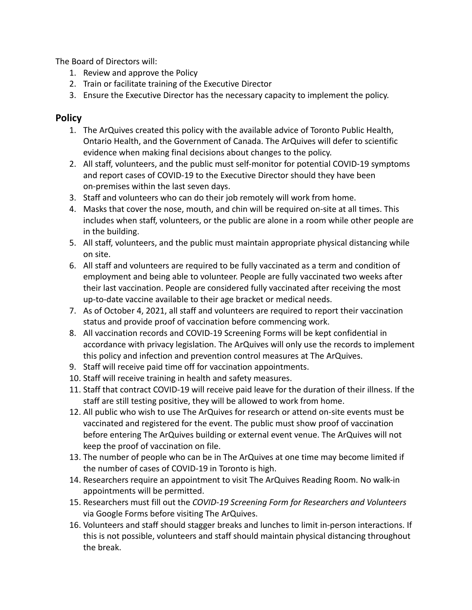The Board of Directors will:

- 1. Review and approve the Policy
- 2. Train or facilitate training of the Executive Director
- 3. Ensure the Executive Director has the necessary capacity to implement the policy.

## **Policy**

- 1. The ArQuives created this policy with the available advice of Toronto Public Health, Ontario Health, and the Government of Canada. The ArQuives will defer to scientific evidence when making final decisions about changes to the policy.
- 2. All staff, volunteers, and the public must self-monitor for potential COVID-19 symptoms and report cases of COVID-19 to the Executive Director should they have been on-premises within the last seven days.
- 3. Staff and volunteers who can do their job remotely will work from home.
- 4. Masks that cover the nose, mouth, and chin will be required on-site at all times. This includes when staff, volunteers, or the public are alone in a room while other people are in the building.
- 5. All staff, volunteers, and the public must maintain appropriate physical distancing while on site.
- 6. All staff and volunteers are required to be fully vaccinated as a term and condition of employment and being able to volunteer. People are fully vaccinated two weeks after their last vaccination. People are considered fully vaccinated after receiving the most up-to-date vaccine available to their age bracket or medical needs.
- 7. As of October 4, 2021, all staff and volunteers are required to report their vaccination status and provide proof of vaccination before commencing work.
- 8. All vaccination records and COVID-19 Screening Forms will be kept confidential in accordance with privacy legislation. The ArQuives will only use the records to implement this policy and infection and prevention control measures at The ArQuives.
- 9. Staff will receive paid time off for vaccination appointments.
- 10. Staff will receive training in health and safety measures.
- 11. Staff that contract COVID-19 will receive paid leave for the duration of their illness. If the staff are still testing positive, they will be allowed to work from home.
- 12. All public who wish to use The ArQuives for research or attend on-site events must be vaccinated and registered for the event. The public must show proof of vaccination before entering The ArQuives building or external event venue. The ArQuives will not keep the proof of vaccination on file.
- 13. The number of people who can be in The ArQuives at one time may become limited if the number of cases of COVID-19 in Toronto is high.
- 14. Researchers require an appointment to visit The ArQuives Reading Room. No walk-in appointments will be permitted.
- 15. Researchers must fill out the *COVID-19 Screening Form for Researchers and Volunteers* via Google Forms before visiting The ArQuives.
- 16. Volunteers and staff should stagger breaks and lunches to limit in-person interactions. If this is not possible, volunteers and staff should maintain physical distancing throughout the break.